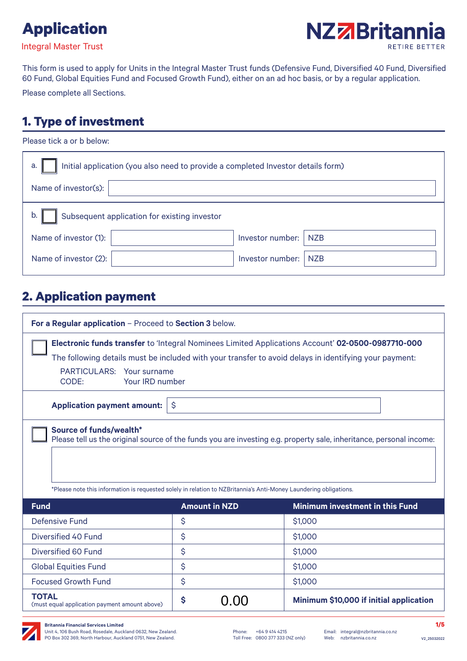





This form is used to apply for Units in the Integral Master Trust funds (Defensive Fund, Diversified 40 Fund, Diversified 60 Fund, Global Equities Fund and Focused Growth Fund), either on an ad hoc basis, or by a regular application.

Please complete all Sections.

# **1. Type of investment**

| Please tick a or b below:                                                              |                  |            |  |  |
|----------------------------------------------------------------------------------------|------------------|------------|--|--|
| Initial application (you also need to provide a completed Investor details form)<br>a. |                  |            |  |  |
| Name of investor(s):                                                                   |                  |            |  |  |
| Subsequent application for existing investor<br>b.                                     |                  |            |  |  |
| Name of investor (1):                                                                  | Investor number: | <b>NZB</b> |  |  |
| Name of investor (2):                                                                  | Investor number: | <b>NZB</b> |  |  |

## **2. Application payment**

| For a Regular application - Proceed to Section 3 below.                                                                                                                                                                                                                    |                      |                                         |  |  |
|----------------------------------------------------------------------------------------------------------------------------------------------------------------------------------------------------------------------------------------------------------------------------|----------------------|-----------------------------------------|--|--|
| <b>Electronic funds transfer</b> to 'Integral Nominees Limited Applications Account' 02-0500-0987710-000<br>The following details must be included with your transfer to avoid delays in identifying your payment:                                                         |                      |                                         |  |  |
| <b>PARTICULARS:</b><br>Your surname<br>Your IRD number<br>CODE:                                                                                                                                                                                                            |                      |                                         |  |  |
| <b>Application payment amount:</b><br>$\ddot{\varsigma}$                                                                                                                                                                                                                   |                      |                                         |  |  |
| <b>Source of funds/wealth*</b><br>Please tell us the original source of the funds you are investing e.g. property sale, inheritance, personal income:<br>*Please note this information is requested solely in relation to NZBritannia's Anti-Money Laundering obligations. |                      |                                         |  |  |
| <b>Fund</b>                                                                                                                                                                                                                                                                | <b>Amount in NZD</b> | Minimum investment in this Fund         |  |  |
| <b>Defensive Fund</b>                                                                                                                                                                                                                                                      | \$                   | \$1,000                                 |  |  |
| Diversified 40 Fund                                                                                                                                                                                                                                                        | \$                   | \$1,000                                 |  |  |
| Diversified 60 Fund                                                                                                                                                                                                                                                        | \$                   | \$1,000                                 |  |  |
| <b>Global Equities Fund</b>                                                                                                                                                                                                                                                | \$                   | \$1,000                                 |  |  |
| <b>Focused Growth Fund</b>                                                                                                                                                                                                                                                 | \$                   | \$1,000                                 |  |  |
| <b>TOTAL</b><br>(must equal application payment amount above)                                                                                                                                                                                                              | \$<br>0.00           | Minimum \$10,000 if initial application |  |  |

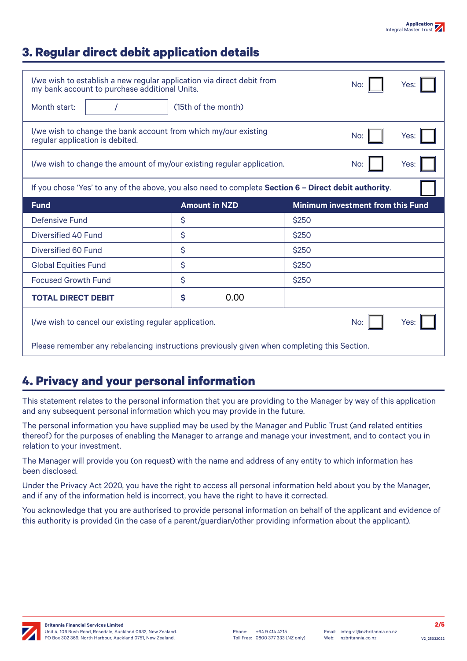## **3. Regular direct debit application details**

| I/we wish to establish a new regular application via direct debit from<br>my bank account to purchase additional Units. | No:<br>Yes:          |                                          |      |  |
|-------------------------------------------------------------------------------------------------------------------------|----------------------|------------------------------------------|------|--|
| Month start:                                                                                                            | (15th of the month)  |                                          |      |  |
| I/we wish to change the bank account from which my/our existing<br>regular application is debited.                      | No:<br>Yes:          |                                          |      |  |
| I/we wish to change the amount of my/our existing regular application.<br>No:                                           |                      |                                          | Yes: |  |
| If you chose 'Yes' to any of the above, you also need to complete Section 6 - Direct debit authority.                   |                      |                                          |      |  |
| <b>Fund</b>                                                                                                             | <b>Amount in NZD</b> | <b>Minimum investment from this Fund</b> |      |  |
| Defensive Fund                                                                                                          | \$                   | \$250                                    |      |  |
| Diversified 40 Fund                                                                                                     | \$                   | \$250                                    |      |  |
| Diversified 60 Fund                                                                                                     | \$                   | \$250                                    |      |  |
| <b>Global Equities Fund</b>                                                                                             | \$                   | \$250                                    |      |  |
| <b>Focused Growth Fund</b>                                                                                              | \$                   | \$250                                    |      |  |
| <b>TOTAL DIRECT DEBIT</b>                                                                                               | 0.00<br>\$           |                                          |      |  |
| I/we wish to cancel our existing regular application.<br>No:<br>Yes:                                                    |                      |                                          |      |  |
|                                                                                                                         |                      |                                          |      |  |

## **4. Privacy and your personal information**

This statement relates to the personal information that you are providing to the Manager by way of this application and any subsequent personal information which you may provide in the future.

The personal information you have supplied may be used by the Manager and Public Trust (and related entities thereof) for the purposes of enabling the Manager to arrange and manage your investment, and to contact you in relation to your investment.

The Manager will provide you (on request) with the name and address of any entity to which information has been disclosed.

Under the Privacy Act 2020, you have the right to access all personal information held about you by the Manager, and if any of the information held is incorrect, you have the right to have it corrected.

You acknowledge that you are authorised to provide personal information on behalf of the applicant and evidence of this authority is provided (in the case of a parent/guardian/other providing information about the applicant).

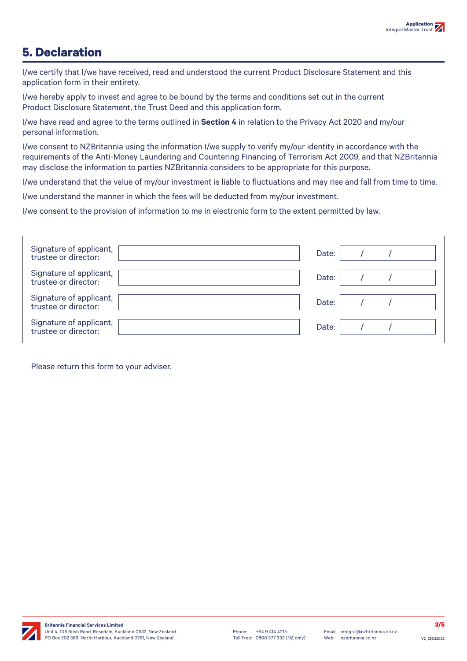## **5. Declaration**

I/we certify that I/we have received, read and understood the current Product Disclosure Statement and this application form in their entirety.

I/we hereby apply to invest and agree to be bound by the terms and conditions set out in the current Product Disclosure Statement, the Trust Deed and this application form.

I/we have read and agree to the terms outlined in **Section 4** in relation to the Privacy Act 2020 and my/our personal information.

I/we consent to NZBritannia using the information I/we supply to verify my/our identity in accordance with the requirements of the Anti-Money Laundering and Countering Financing of Terrorism Act 2009, and that NZBritannia may disclose the information to parties NZBritannia considers to be appropriate for this purpose.

I/we understand that the value of my/our investment is liable to fluctuations and may rise and fall from time to time.

I/we understand the manner in which the fees will be deducted from my/our investment.

I/we consent to the provision of information to me in electronic form to the extent permitted by law.

| Signature of applicant,<br>trustee or director: | Date: |  |  |
|-------------------------------------------------|-------|--|--|
| Signature of applicant,<br>trustee or director: | Date: |  |  |
| Signature of applicant,<br>trustee or director: | Date: |  |  |
| Signature of applicant,<br>trustee or director: | Date: |  |  |

Please return this form to your adviser.

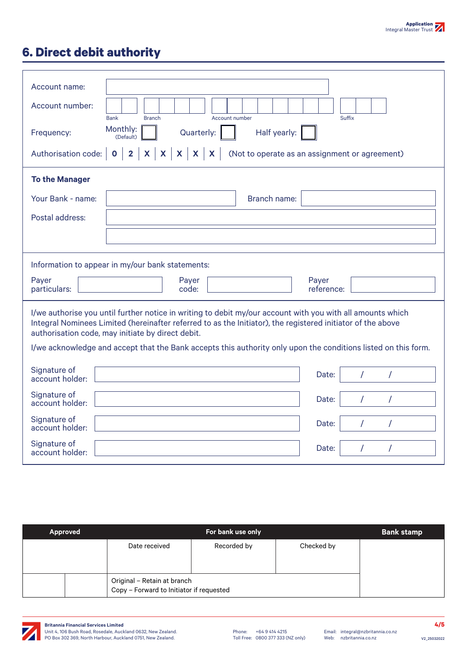# **6. Direct debit authority**

| Account name:<br>Account number:<br><b>Bank</b><br><b>Branch</b><br>Account number                                                                                                                                                                                             | Suffix                                         |  |  |
|--------------------------------------------------------------------------------------------------------------------------------------------------------------------------------------------------------------------------------------------------------------------------------|------------------------------------------------|--|--|
| Monthly:<br>Quarterly:<br>Half yearly:<br>Frequency:<br>(Default)                                                                                                                                                                                                              |                                                |  |  |
| $x \mid x \mid x$<br>$X \mid X$<br>$\overline{\mathbf{2}}$<br>$\mathbf 0$<br>Authorisation code:                                                                                                                                                                               | (Not to operate as an assignment or agreement) |  |  |
| <b>To the Manager</b>                                                                                                                                                                                                                                                          |                                                |  |  |
| Your Bank - name:<br><b>Branch name:</b>                                                                                                                                                                                                                                       |                                                |  |  |
| Postal address:                                                                                                                                                                                                                                                                |                                                |  |  |
|                                                                                                                                                                                                                                                                                |                                                |  |  |
| Information to appear in my/our bank statements:                                                                                                                                                                                                                               |                                                |  |  |
| Payer<br>Payer<br>particulars:<br>code:                                                                                                                                                                                                                                        | Payer<br>reference:                            |  |  |
| I/we authorise you until further notice in writing to debit my/our account with you with all amounts which<br>Integral Nominees Limited (hereinafter referred to as the Initiator), the registered initiator of the above<br>authorisation code, may initiate by direct debit. |                                                |  |  |
| I/we acknowledge and accept that the Bank accepts this authority only upon the conditions listed on this form.                                                                                                                                                                 |                                                |  |  |
| Signature of<br>account holder:                                                                                                                                                                                                                                                | Date:                                          |  |  |
| Signature of<br>account holder:                                                                                                                                                                                                                                                | Date:<br>$\prime$<br>$\prime$                  |  |  |
| Signature of<br>account holder:                                                                                                                                                                                                                                                | Date:<br>$\prime$<br>7                         |  |  |
| Signature of<br>account holder:                                                                                                                                                                                                                                                | $\prime$<br>Date:<br>$\prime$                  |  |  |
|                                                                                                                                                                                                                                                                                |                                                |  |  |

| Approved | For bank use only                                                       |             |            | <b>Bank stamp</b> |
|----------|-------------------------------------------------------------------------|-------------|------------|-------------------|
|          | Date received                                                           | Recorded by | Checked by |                   |
|          | Original - Retain at branch<br>Copy - Forward to Initiator if requested |             |            |                   |